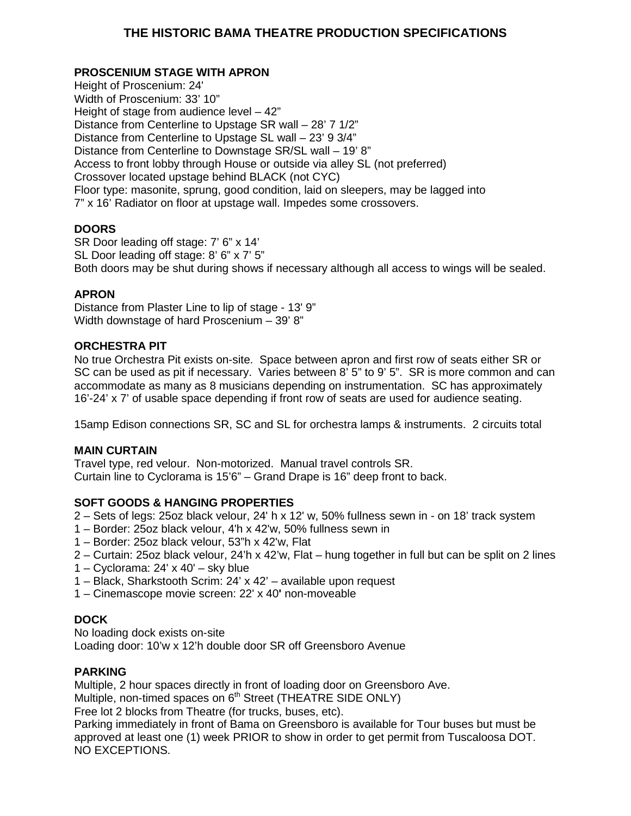# **THE HISTORIC BAMA THEATRE PRODUCTION SPECIFICATIONS**

# **PROSCENIUM STAGE WITH APRON**

Height of Proscenium: 24' Width of Proscenium: 33' 10" Height of stage from audience level – 42" Distance from Centerline to Upstage SR wall – 28' 7 1/2" Distance from Centerline to Upstage SL wall – 23' 9 3/4" Distance from Centerline to Downstage SR/SL wall – 19' 8" Access to front lobby through House or outside via alley SL (not preferred) Crossover located upstage behind BLACK (not CYC) Floor type: masonite, sprung, good condition, laid on sleepers, may be lagged into 7" x 16' Radiator on floor at upstage wall. Impedes some crossovers.

# **DOORS**

SR Door leading off stage: 7' 6" x 14' SL Door leading off stage: 8' 6" x 7' 5" Both doors may be shut during shows if necessary although all access to wings will be sealed.

## **APRON**

Distance from Plaster Line to lip of stage - 13' 9" Width downstage of hard Proscenium – 39' 8"

## **ORCHESTRA PIT**

No true Orchestra Pit exists on-site. Space between apron and first row of seats either SR or SC can be used as pit if necessary. Varies between 8' 5" to 9' 5". SR is more common and can accommodate as many as 8 musicians depending on instrumentation. SC has approximately 16'-24' x 7' of usable space depending if front row of seats are used for audience seating.

15amp Edison connections SR, SC and SL for orchestra lamps & instruments. 2 circuits total

## **MAIN CURTAIN**

Travel type, red velour. Non-motorized. Manual travel controls SR. Curtain line to Cyclorama is 15'6" – Grand Drape is 16" deep front to back.

## **SOFT GOODS & HANGING PROPERTIES**

2 – Sets of legs: 25oz black velour, 24' h x 12' w, 50% fullness sewn in - on 18' track system

- 1 Border: 25oz black velour, 4'h x 42'w, 50% fullness sewn in
- 1 Border: 25oz black velour, 53"h x 42'w, Flat
- 2 Curtain: 25oz black velour, 24'h x 42'w, Flat hung together in full but can be split on 2 lines
- 1 Cyclorama: 24' x 40' sky blue
- 1 Black, Sharkstooth Scrim: 24' x 42' available upon request
- 1 Cinemascope movie screen: 22' x 40**'** non-moveable

## **DOCK**

No loading dock exists on-site Loading door: 10'w x 12'h double door SR off Greensboro Avenue

## **PARKING**

Multiple, 2 hour spaces directly in front of loading door on Greensboro Ave.

Multiple, non-timed spaces on  $6<sup>th</sup>$  Street (THEATRE SIDE ONLY)

Free lot 2 blocks from Theatre (for trucks, buses, etc).

Parking immediately in front of Bama on Greensboro is available for Tour buses but must be approved at least one (1) week PRIOR to show in order to get permit from Tuscaloosa DOT. NO EXCEPTIONS.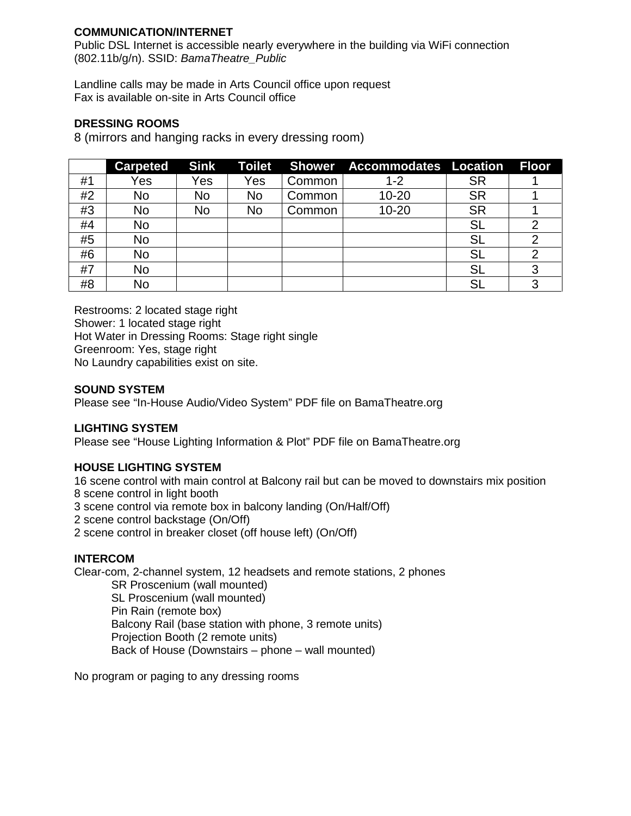## **COMMUNICATION/INTERNET**

Public DSL Internet is accessible nearly everywhere in the building via WiFi connection (802.11b/g/n). SSID: *BamaTheatre\_Public*

Landline calls may be made in Arts Council office upon request Fax is available on-site in Arts Council office

### **DRESSING ROOMS**

8 (mirrors and hanging racks in every dressing room)

|    | <b>Carpeted</b> | <b>Sink</b> | <b>Toilet</b> |        | Shower Accommodates Location |           | <b>Floor</b>   |
|----|-----------------|-------------|---------------|--------|------------------------------|-----------|----------------|
| #1 | Yes             | Yes         | Yes           | Common | $1 - 2$                      | <b>SR</b> |                |
| #2 | No              | No          | No            | Common | $10 - 20$                    | <b>SR</b> |                |
| #3 | No              | No          | No            | Common | $10 - 20$                    | <b>SR</b> |                |
| #4 | No              |             |               |        |                              | SL        | 2              |
| #5 | No              |             |               |        |                              | SL        | 2              |
| #6 | <b>No</b>       |             |               |        |                              | SL        | $\overline{2}$ |
| #7 | No              |             |               |        |                              | SL        | 3              |
| #8 | No              |             |               |        |                              | SL        | 3              |

Restrooms: 2 located stage right Shower: 1 located stage right Hot Water in Dressing Rooms: Stage right single Greenroom: Yes, stage right No Laundry capabilities exist on site.

## **SOUND SYSTEM**

Please see "In-House Audio/Video System" PDF file on BamaTheatre.org

## **LIGHTING SYSTEM**

Please see "House Lighting Information & Plot" PDF file on BamaTheatre.org

## **HOUSE LIGHTING SYSTEM**

16 scene control with main control at Balcony rail but can be moved to downstairs mix position 8 scene control in light booth

3 scene control via remote box in balcony landing (On/Half/Off)

2 scene control backstage (On/Off)

2 scene control in breaker closet (off house left) (On/Off)

#### **INTERCOM**

Clear-com, 2-channel system, 12 headsets and remote stations, 2 phones

SR Proscenium (wall mounted) SL Proscenium (wall mounted) Pin Rain (remote box) Balcony Rail (base station with phone, 3 remote units) Projection Booth (2 remote units) Back of House (Downstairs – phone – wall mounted)

No program or paging to any dressing rooms